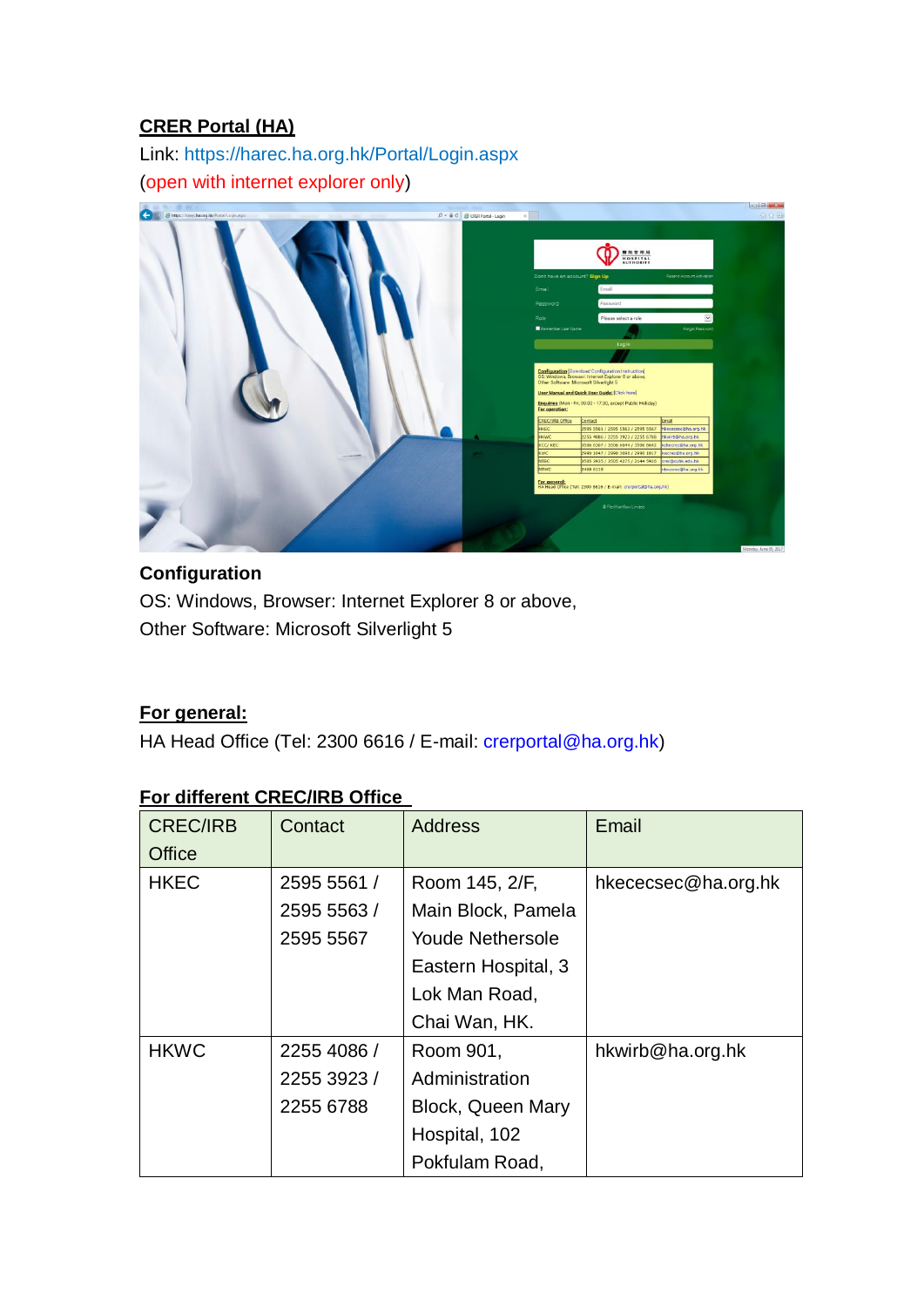### **CRER Portal (HA)**

Link:<https://harec.ha.org.hk/Portal/Login.aspx> (open with internet explorer only)



# **Configuration**

OS: Windows, Browser: Internet Explorer 8 or above, Other Software: Microsoft Silverlight 5

### **For general:**

HA Head Office (Tel: 2300 6616 / E-mail: [crerportal@ha.org.hk\)](mailto:crerportal@ha.org.hk)

#### **For different CREC/IRB Office**

| <b>CREC/IRB</b> | Contact     | <b>Address</b>           | Email               |
|-----------------|-------------|--------------------------|---------------------|
| Office          |             |                          |                     |
| <b>HKEC</b>     | 2595 5561 / | Room 145, 2/F,           | hkececsec@ha.org.hk |
|                 | 2595 5563 / | Main Block, Pamela       |                     |
|                 | 2595 5567   | <b>Youde Nethersole</b>  |                     |
|                 |             | Eastern Hospital, 3      |                     |
|                 |             | Lok Man Road,            |                     |
|                 |             | Chai Wan, HK.            |                     |
| <b>HKWC</b>     | 2255 4086 / | Room 901,                | hkwirb@ha.org.hk    |
|                 | 2255 3923 / | Administration           |                     |
|                 | 2255 6788   | <b>Block, Queen Mary</b> |                     |
|                 |             | Hospital, 102            |                     |
|                 |             | Pokfulam Road,           |                     |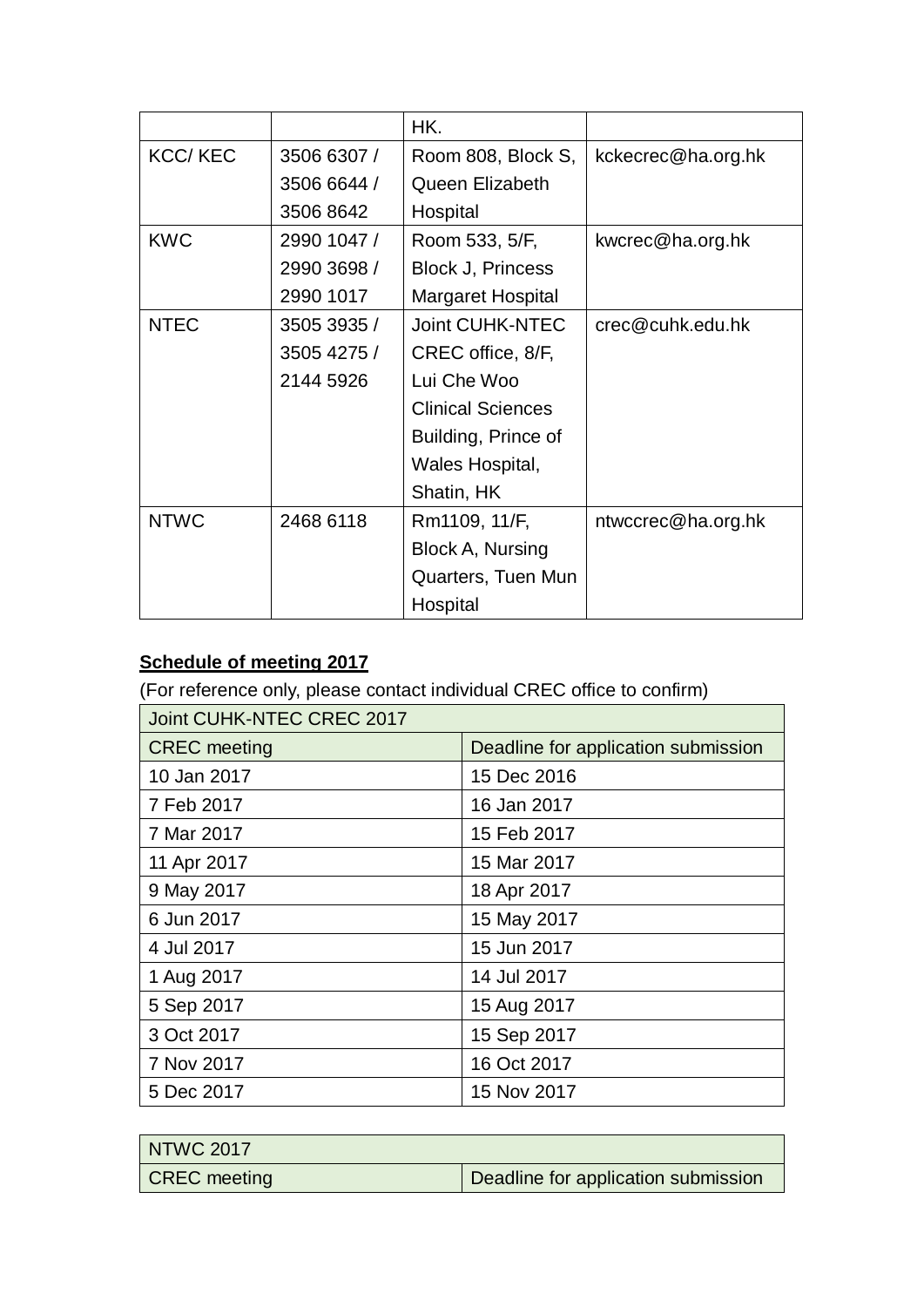|                |             | HK.                      |                    |
|----------------|-------------|--------------------------|--------------------|
| <b>KCC/KEC</b> | 3506 6307 / | Room 808, Block S,       | kckecrec@ha.org.hk |
|                | 3506 6644 / | Queen Elizabeth          |                    |
|                | 3506 8642   | Hospital                 |                    |
| <b>KWC</b>     | 2990 1047 / | Room 533, 5/F,           | kwcrec@ha.org.hk   |
|                | 2990 3698 / | <b>Block J, Princess</b> |                    |
|                | 2990 1017   | Margaret Hospital        |                    |
| <b>NTEC</b>    | 3505 3935 / | <b>Joint CUHK-NTEC</b>   | crec@cuhk.edu.hk   |
|                | 3505 4275 / | CREC office, 8/F,        |                    |
|                | 2144 5926   | Lui Che Woo              |                    |
|                |             | <b>Clinical Sciences</b> |                    |
|                |             | Building, Prince of      |                    |
|                |             | Wales Hospital,          |                    |
|                |             | Shatin, HK               |                    |
| <b>NTWC</b>    | 2468 6118   | Rm1109, 11/F,            | ntwccrec@ha.org.hk |
|                |             | Block A, Nursing         |                    |
|                |             | Quarters, Tuen Mun       |                    |
|                |             | Hospital                 |                    |

# **Schedule of meeting 2017**

(For reference only, please contact individual CREC office to confirm)

| Joint CUHK-NTEC CREC 2017 |                                     |  |
|---------------------------|-------------------------------------|--|
| <b>CREC</b> meeting       | Deadline for application submission |  |
| 10 Jan 2017               | 15 Dec 2016                         |  |
| 7 Feb 2017                | 16 Jan 2017                         |  |
| 7 Mar 2017                | 15 Feb 2017                         |  |
| 11 Apr 2017               | 15 Mar 2017                         |  |
| 9 May 2017                | 18 Apr 2017                         |  |
| 6 Jun 2017                | 15 May 2017                         |  |
| 4 Jul 2017                | 15 Jun 2017                         |  |
| 1 Aug 2017                | 14 Jul 2017                         |  |
| 5 Sep 2017                | 15 Aug 2017                         |  |
| 3 Oct 2017                | 15 Sep 2017                         |  |
| 7 Nov 2017                | 16 Oct 2017                         |  |
| 5 Dec 2017                | 15 Nov 2017                         |  |

| NTWC 2017    |                                     |
|--------------|-------------------------------------|
| CREC meeting | Deadline for application submission |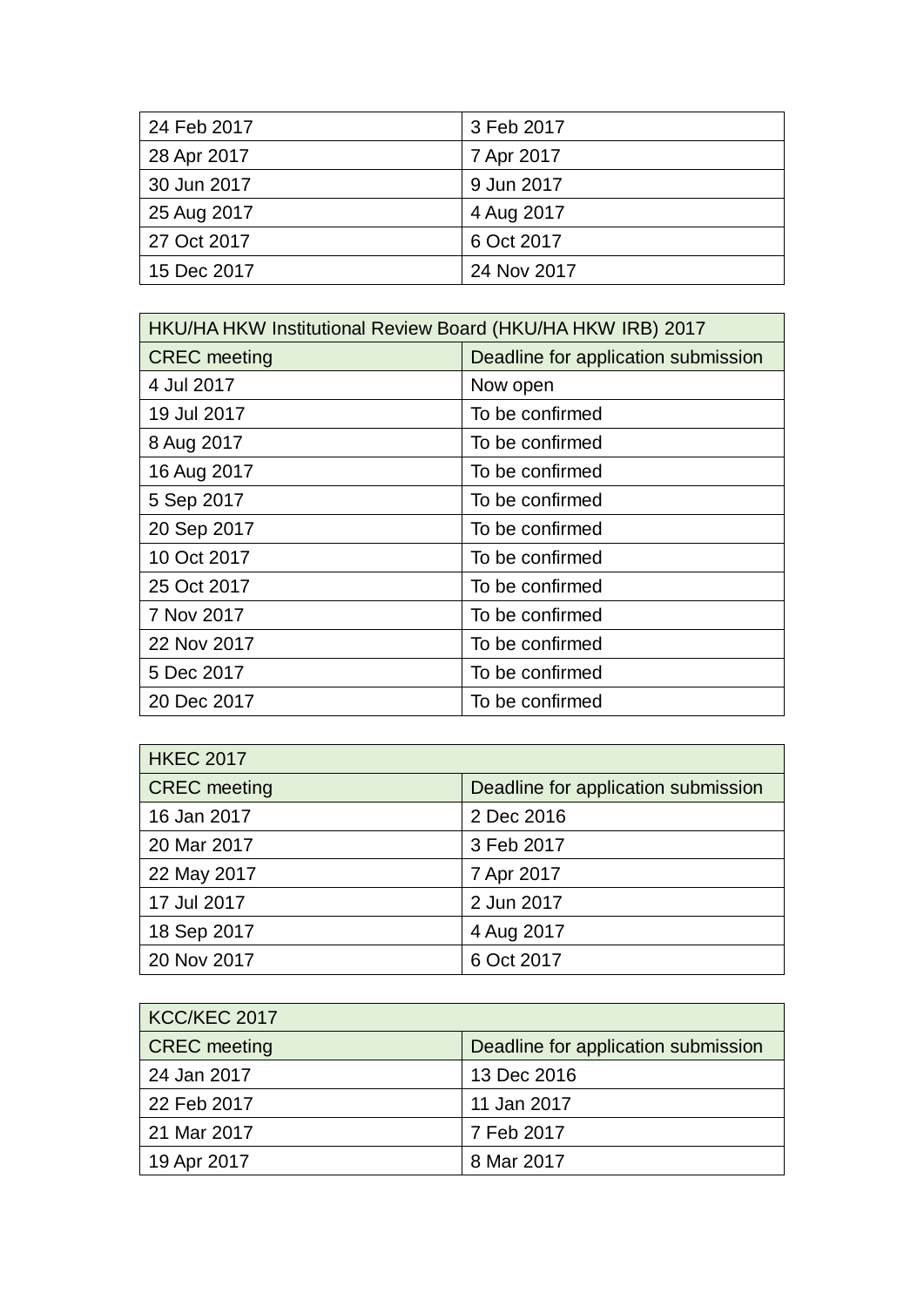| 24 Feb 2017 | 3 Feb 2017  |
|-------------|-------------|
| 28 Apr 2017 | 7 Apr 2017  |
| 30 Jun 2017 | 9 Jun 2017  |
| 25 Aug 2017 | 4 Aug 2017  |
| 27 Oct 2017 | 6 Oct 2017  |
| 15 Dec 2017 | 24 Nov 2017 |

| HKU/HA HKW Institutional Review Board (HKU/HA HKW IRB) 2017 |                                     |  |
|-------------------------------------------------------------|-------------------------------------|--|
| <b>CREC</b> meeting                                         | Deadline for application submission |  |
| 4 Jul 2017                                                  | Now open                            |  |
| 19 Jul 2017                                                 | To be confirmed                     |  |
| 8 Aug 2017                                                  | To be confirmed                     |  |
| 16 Aug 2017                                                 | To be confirmed                     |  |
| 5 Sep 2017                                                  | To be confirmed                     |  |
| 20 Sep 2017                                                 | To be confirmed                     |  |
| 10 Oct 2017                                                 | To be confirmed                     |  |
| 25 Oct 2017                                                 | To be confirmed                     |  |
| 7 Nov 2017                                                  | To be confirmed                     |  |
| 22 Nov 2017                                                 | To be confirmed                     |  |
| 5 Dec 2017                                                  | To be confirmed                     |  |
| 20 Dec 2017                                                 | To be confirmed                     |  |

| <b>HKEC 2017</b>    |                                     |
|---------------------|-------------------------------------|
| <b>CREC</b> meeting | Deadline for application submission |
| 16 Jan 2017         | 2 Dec 2016                          |
| 20 Mar 2017         | 3 Feb 2017                          |
| 22 May 2017         | 7 Apr 2017                          |
| 17 Jul 2017         | 2 Jun 2017                          |
| 18 Sep 2017         | 4 Aug 2017                          |
| 20 Nov 2017         | 6 Oct 2017                          |

| KCC/KEC 2017        |                                     |
|---------------------|-------------------------------------|
| <b>CREC</b> meeting | Deadline for application submission |
| 24 Jan 2017         | 13 Dec 2016                         |
| 22 Feb 2017         | 11 Jan 2017                         |
| 21 Mar 2017         | 7 Feb 2017                          |
| 19 Apr 2017         | 8 Mar 2017                          |